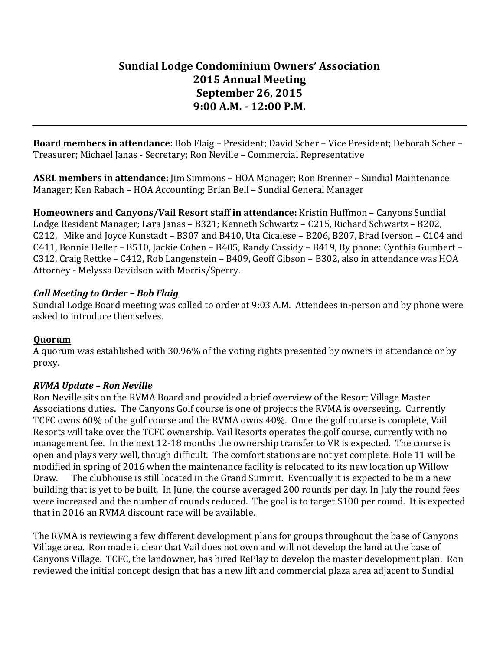# **Sundial Lodge Condominium Owners' Association 2015 Annual Meeting September 26, 2015 9:00 A.M. - 12:00 P.M.**

**Board members in attendance:** Bob Flaig – President; David Scher – Vice President; Deborah Scher – Treasurer; Michael Janas - Secretary; Ron Neville – Commercial Representative

**ASRL members in attendance:** Jim Simmons – HOA Manager; Ron Brenner – Sundial Maintenance Manager; Ken Rabach – HOA Accounting; Brian Bell – Sundial General Manager

**Homeowners and Canyons/Vail Resort staff in attendance:** Kristin Huffmon - Canyons Sundial Lodge Resident Manager; Lara Janas – B321; Kenneth Schwartz – C215, Richard Schwartz – B202, C212, Mike and Joyce Kunstadt – B307 and B410, Uta Cicalese – B206, B207, Brad Iverson – C104 and C411, Bonnie Heller - B510, Jackie Cohen - B405, Randy Cassidy - B419, By phone: Cynthia Gumbert - $C312$ , Craig Rettke – C412, Rob Langenstein – B409, Geoff Gibson – B302, also in attendance was HOA Attorney - Melyssa Davidson with Morris/Sperry.

#### *Call Meeting to Order – Bob Flaig*

Sundial Lodge Board meeting was called to order at 9:03 A.M. Attendees in-person and by phone were asked to introduce themselves.

#### **Quorum**

A quorum was established with 30.96% of the voting rights presented by owners in attendance or by proxy.

## *RVMA Update – Ron Neville*

Ron Neville sits on the RVMA Board and provided a brief overview of the Resort Village Master Associations duties. The Canyons Golf course is one of projects the RVMA is overseeing. Currently TCFC owns 60% of the golf course and the RVMA owns 40%. Once the golf course is complete, Vail Resorts will take over the TCFC ownership. Vail Resorts operates the golf course, currently with no management fee. In the next 12-18 months the ownership transfer to VR is expected. The course is open and plays very well, though difficult. The comfort stations are not yet complete. Hole 11 will be modified in spring of 2016 when the maintenance facility is relocated to its new location up Willow Draw. The clubhouse is still located in the Grand Summit. Eventually it is expected to be in a new building that is yet to be built. In June, the course averaged 200 rounds per day. In July the round fees were increased and the number of rounds reduced. The goal is to target \$100 per round. It is expected that in 2016 an RVMA discount rate will be available.

The RVMA is reviewing a few different development plans for groups throughout the base of Canyons Village area. Ron made it clear that Vail does not own and will not develop the land at the base of Canyons Village. TCFC, the landowner, has hired RePlay to develop the master development plan. Ron reviewed the initial concept design that has a new lift and commercial plaza area adjacent to Sundial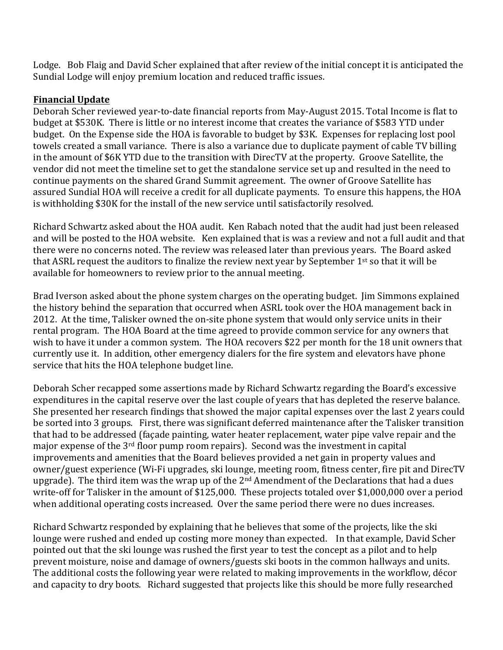Lodge. Bob Flaig and David Scher explained that after review of the initial concept it is anticipated the Sundial Lodge will enjoy premium location and reduced traffic issues.

#### **Financial Update**

Deborah Scher reviewed year-to-date financial reports from May-August 2015. Total Income is flat to budget at \$530K. There is little or no interest income that creates the variance of \$583 YTD under budget. On the Expense side the HOA is favorable to budget by \$3K. Expenses for replacing lost pool towels created a small variance. There is also a variance due to duplicate payment of cable TV billing in the amount of \$6K YTD due to the transition with DirecTV at the property. Groove Satellite, the vendor did not meet the timeline set to get the standalone service set up and resulted in the need to continue payments on the shared Grand Summit agreement. The owner of Groove Satellite has assured Sundial HOA will receive a credit for all duplicate payments. To ensure this happens, the HOA is withholding \$30K for the install of the new service until satisfactorily resolved.

Richard Schwartz asked about the HOA audit. Ken Rabach noted that the audit had just been released and will be posted to the HOA website. Ken explained that is was a review and not a full audit and that there were no concerns noted. The review was released later than previous years. The Board asked that ASRL request the auditors to finalize the review next year by September 1st so that it will be available for homeowners to review prior to the annual meeting.

Brad Iverson asked about the phone system charges on the operating budget. In Simmons explained the history behind the separation that occurred when ASRL took over the HOA management back in 2012. At the time, Talisker owned the on-site phone system that would only service units in their rental program. The HOA Board at the time agreed to provide common service for any owners that wish to have it under a common system. The HOA recovers \$22 per month for the 18 unit owners that currently use it. In addition, other emergency dialers for the fire system and elevators have phone service that hits the HOA telephone budget line.

Deborah Scher recapped some assertions made by Richard Schwartz regarding the Board's excessive expenditures in the capital reserve over the last couple of years that has depleted the reserve balance. She presented her research findings that showed the major capital expenses over the last 2 years could be sorted into 3 groups. First, there was significant deferred maintenance after the Talisker transition that had to be addressed (façade painting, water heater replacement, water pipe valve repair and the major expense of the  $3^{rd}$  floor pump room repairs). Second was the investment in capital improvements and amenities that the Board believes provided a net gain in property values and owner/guest experience (Wi-Fi upgrades, ski lounge, meeting room, fitness center, fire pit and DirecTV upgrade). The third item was the wrap up of the  $2<sup>nd</sup>$  Amendment of the Declarations that had a dues write-off for Talisker in the amount of \$125,000. These projects totaled over \$1,000,000 over a period when additional operating costs increased. Over the same period there were no dues increases.

Richard Schwartz responded by explaining that he believes that some of the projects, like the ski lounge were rushed and ended up costing more money than expected. In that example, David Scher pointed out that the ski lounge was rushed the first year to test the concept as a pilot and to help prevent moisture, noise and damage of owners/guests ski boots in the common hallways and units. The additional costs the following year were related to making improvements in the workflow, décor and capacity to dry boots. Richard suggested that projects like this should be more fully researched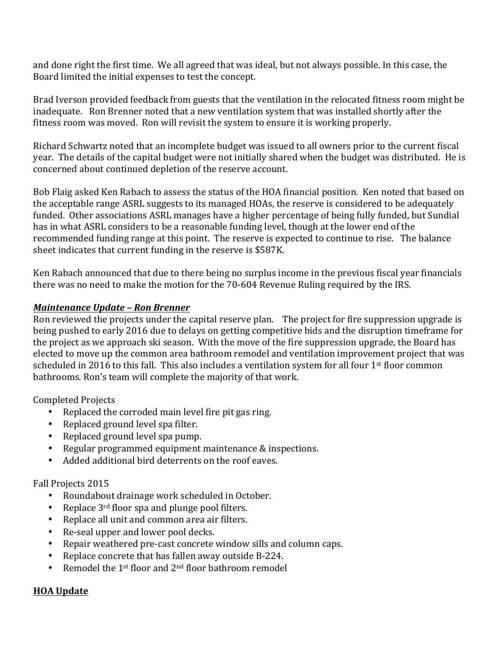and done right the first time. We all agreed that was ideal, but not always possible. In this case, the Board limited the initial expenses to test the concept.

Brad Iverson provided feedback from guests that the ventilation in the relocated fitness room might be inadequate. Ron Brenner noted that a new ventilation system that was installed shortly after the fitness room was moved. Ron will revisit the system to ensure it is working properly.

Richard Schwartz noted that an incomplete budget was issued to all owners prior to the current fiscal year. The details of the capital budget were not initially shared when the budget was distributed. He is concerned about continued depletion of the reserve account.

Bob Flaig asked Ken Rabach to assess the status of the HOA financial position. Ken noted that based on the acceptable range ASRL suggests to its managed HOAs, the reserve is considered to be adequately funded. Other associations ASRL manages have a higher percentage of being fully funded, but Sundial has in what ASRL considers to be a reasonable funding level, though at the lower end of the recommended funding range at this point. The reserve is expected to continue to rise. The balance sheet indicates that current funding in the reserve is \$587K.

Ken Rabach announced that due to there being no surplus income in the previous fiscal year financials there was no need to make the motion for the 70-604 Revenue Ruling required by the IRS.

#### *Maintenance Update – Ron Brenner*

Ron reviewed the projects under the capital reserve plan. The project for fire suppression upgrade is being pushed to early 2016 due to delays on getting competitive bids and the disruption timeframe for the project as we approach ski season. With the move of the fire suppression upgrade, the Board has elected to move up the common area bathroom remodel and ventilation improvement project that was scheduled in 2016 to this fall. This also includes a ventilation system for all four 1<sup>st</sup> floor common bathrooms. Ron's team will complete the majority of that work.

Completed Projects

- Replaced the corroded main level fire pit gas ring.
- Replaced ground level spa filter.
- Replaced ground level spa pump.
- Regular programmed equipment maintenance & inspections.
- Added additional bird deterrents on the roof eaves.

## Fall Projects 2015

- Roundabout drainage work scheduled in October.
- Replace  $3^{rd}$  floor spa and plunge pool filters.
- Replace all unit and common area air filters.
- Re-seal upper and lower pool decks.
- Repair weathered pre-cast concrete window sills and column caps.
- Replace concrete that has fallen away outside B-224.
- Remodel the  $1^{st}$  floor and  $2^{nd}$  floor bathroom remodel

## **HOA Update**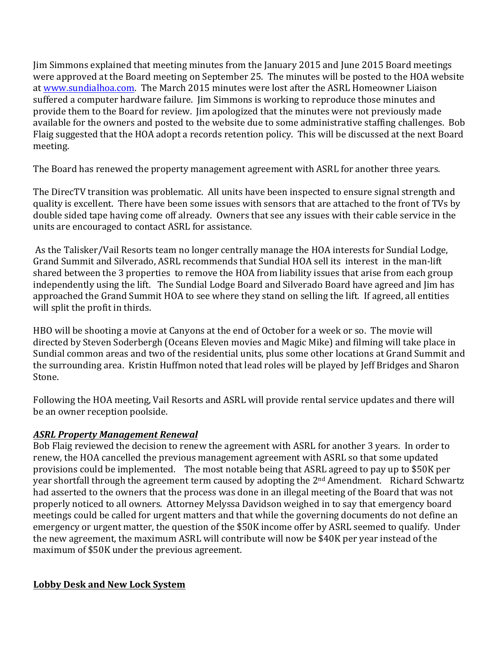Jim Simmons explained that meeting minutes from the January 2015 and June 2015 Board meetings were approved at the Board meeting on September 25. The minutes will be posted to the HOA website at www.sundialhoa.com. The March 2015 minutes were lost after the ASRL Homeowner Liaison suffered a computer hardware failure. Iim Simmons is working to reproduce those minutes and provide them to the Board for review. Jim apologized that the minutes were not previously made available for the owners and posted to the website due to some administrative staffing challenges. Bob Flaig suggested that the HOA adopt a records retention policy. This will be discussed at the next Board meeting.

The Board has renewed the property management agreement with ASRL for another three years.

The DirecTV transition was problematic. All units have been inspected to ensure signal strength and quality is excellent. There have been some issues with sensors that are attached to the front of TVs by double sided tape having come off already. Owners that see any issues with their cable service in the units are encouraged to contact ASRL for assistance.

As the Talisker/Vail Resorts team no longer centrally manage the HOA interests for Sundial Lodge, Grand Summit and Silverado, ASRL recommends that Sundial HOA sell its interest in the man-lift shared between the 3 properties to remove the HOA from liability issues that arise from each group independently using the lift. The Sundial Lodge Board and Silverado Board have agreed and Jim has approached the Grand Summit HOA to see where they stand on selling the lift. If agreed, all entities will split the profit in thirds.

HBO will be shooting a movie at Canyons at the end of October for a week or so. The movie will directed by Steven Soderbergh (Oceans Eleven movies and Magic Mike) and filming will take place in Sundial common areas and two of the residential units, plus some other locations at Grand Summit and the surrounding area. Kristin Huffmon noted that lead roles will be played by Jeff Bridges and Sharon Stone.

Following the HOA meeting, Vail Resorts and ASRL will provide rental service updates and there will be an owner reception poolside.

## *ASRL Property Management Renewal*

Bob Flaig reviewed the decision to renew the agreement with ASRL for another 3 years. In order to renew, the HOA cancelled the previous management agreement with ASRL so that some updated provisions could be implemented. The most notable being that ASRL agreed to pay up to \$50K per year shortfall through the agreement term caused by adopting the 2<sup>nd</sup> Amendment. Richard Schwartz had asserted to the owners that the process was done in an illegal meeting of the Board that was not properly noticed to all owners. Attorney Melyssa Davidson weighed in to say that emergency board meetings could be called for urgent matters and that while the governing documents do not define an emergency or urgent matter, the question of the \$50K income offer by ASRL seemed to qualify. Under the new agreement, the maximum ASRL will contribute will now be \$40K per year instead of the maximum of \$50K under the previous agreement.

## **Lobby Desk and New Lock System**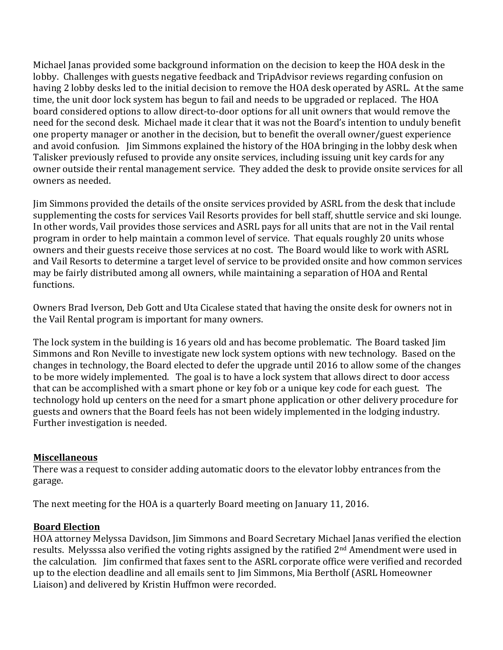Michael Janas provided some background information on the decision to keep the HOA desk in the lobby. Challenges with guests negative feedback and TripAdvisor reviews regarding confusion on having 2 lobby desks led to the initial decision to remove the HOA desk operated by ASRL. At the same time, the unit door lock system has begun to fail and needs to be upgraded or replaced. The HOA board considered options to allow direct-to-door options for all unit owners that would remove the need for the second desk. Michael made it clear that it was not the Board's intention to unduly benefit one property manager or another in the decision, but to benefit the overall owner/guest experience and avoid confusion. Jim Simmons explained the history of the HOA bringing in the lobby desk when Talisker previously refused to provide any onsite services, including issuing unit key cards for any owner outside their rental management service. They added the desk to provide onsite services for all owners as needed.

Jim Simmons provided the details of the onsite services provided by ASRL from the desk that include supplementing the costs for services Vail Resorts provides for bell staff, shuttle service and ski lounge. In other words, Vail provides those services and ASRL pays for all units that are not in the Vail rental program in order to help maintain a common level of service. That equals roughly 20 units whose owners and their guests receive those services at no cost. The Board would like to work with ASRL and Vail Resorts to determine a target level of service to be provided onsite and how common services may be fairly distributed among all owners, while maintaining a separation of HOA and Rental functions. 

Owners Brad Iverson, Deb Gott and Uta Cicalese stated that having the onsite desk for owners not in the Vail Rental program is important for many owners.

The lock system in the building is 16 years old and has become problematic. The Board tasked Jim Simmons and Ron Neville to investigate new lock system options with new technology. Based on the changes in technology, the Board elected to defer the upgrade until 2016 to allow some of the changes to be more widely implemented. The goal is to have a lock system that allows direct to door access that can be accomplished with a smart phone or key fob or a unique key code for each guest. The technology hold up centers on the need for a smart phone application or other delivery procedure for guests and owners that the Board feels has not been widely implemented in the lodging industry. Further investigation is needed.

#### **Miscellaneous**

There was a request to consider adding automatic doors to the elevator lobby entrances from the garage.

The next meeting for the HOA is a quarterly Board meeting on January 11, 2016.

## **Board Election**

HOA attorney Melyssa Davidson, Jim Simmons and Board Secretary Michael Janas verified the election results. Melysssa also verified the voting rights assigned by the ratified 2<sup>nd</sup> Amendment were used in the calculation. Iim confirmed that faxes sent to the ASRL corporate office were verified and recorded up to the election deadline and all emails sent to Jim Simmons, Mia Bertholf (ASRL Homeowner Liaison) and delivered by Kristin Huffmon were recorded.